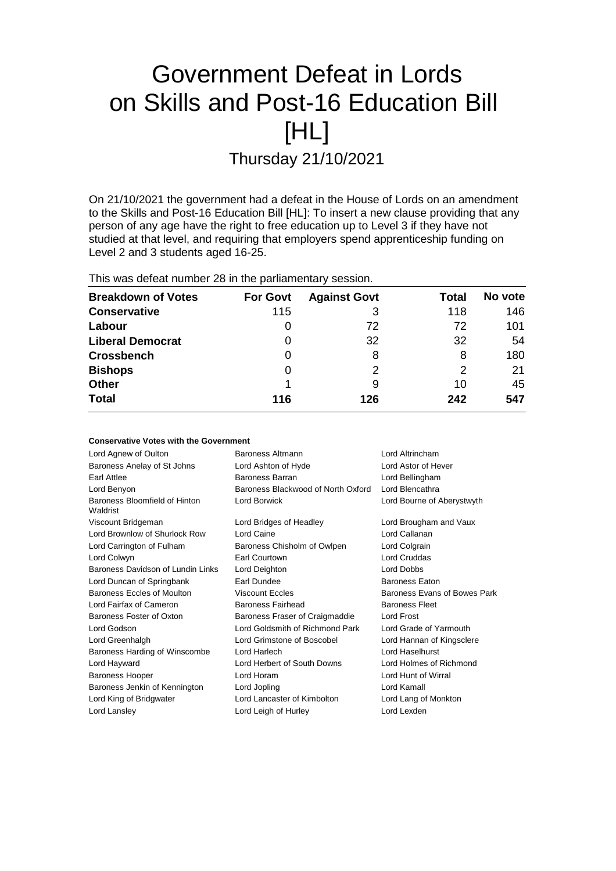# Government Defeat in Lords on Skills and Post-16 Education Bill [HL]

Thursday 21/10/2021

On 21/10/2021 the government had a defeat in the House of Lords on an amendment to the Skills and Post-16 Education Bill [HL]: To insert a new clause providing that any person of any age have the right to free education up to Level 3 if they have not studied at that level, and requiring that employers spend apprenticeship funding on Level 2 and 3 students aged 16-25.

This was defeat number 28 in the parliamentary session.

| <b>Breakdown of Votes</b> | <b>For Govt</b> | <b>Against Govt</b> | Total | No vote |
|---------------------------|-----------------|---------------------|-------|---------|
| <b>Conservative</b>       | 115             |                     | 118   | 146     |
| Labour                    | O               | 72                  | 72    | 101     |
| <b>Liberal Democrat</b>   | 0               | 32                  | 32    | 54      |
| <b>Crossbench</b>         | 0               | 8                   | 8     | 180     |
| <b>Bishops</b>            | 0               | 2                   | 2     | 21      |
| <b>Other</b>              |                 | 9                   | 10    | 45      |
| <b>Total</b>              | 116             | 126                 | 242   | 547     |

| <b>Conservative Votes with the Government</b> |                                    |                              |
|-----------------------------------------------|------------------------------------|------------------------------|
| Lord Agnew of Oulton                          | Baroness Altmann                   | Lord Altrincham              |
| Baroness Anelay of St Johns                   | Lord Ashton of Hyde                | Lord Astor of Hever          |
| Earl Attlee                                   | Baroness Barran                    | Lord Bellingham              |
| Lord Benyon                                   | Baroness Blackwood of North Oxford | Lord Blencathra              |
| Baroness Bloomfield of Hinton<br>Waldrist     | Lord Borwick                       | Lord Bourne of Aberystwyth   |
| Viscount Bridgeman                            | Lord Bridges of Headley            | Lord Brougham and Vaux       |
| Lord Brownlow of Shurlock Row                 | Lord Caine                         | Lord Callanan                |
| Lord Carrington of Fulham                     | Baroness Chisholm of Owlpen        | Lord Colgrain                |
| Lord Colwyn                                   | Earl Courtown                      | Lord Cruddas                 |
| Baroness Davidson of Lundin Links             | Lord Deighton                      | Lord Dobbs                   |
| Lord Duncan of Springbank                     | Earl Dundee                        | <b>Baroness Eaton</b>        |
| Baroness Eccles of Moulton                    | <b>Viscount Eccles</b>             | Baroness Evans of Bowes Park |
| Lord Fairfax of Cameron                       | Baroness Fairhead                  | <b>Baroness Fleet</b>        |
| Baroness Foster of Oxton                      | Baroness Fraser of Craigmaddie     | Lord Frost                   |
| Lord Godson                                   | Lord Goldsmith of Richmond Park    | Lord Grade of Yarmouth       |
| Lord Greenhalgh                               | Lord Grimstone of Boscobel         | Lord Hannan of Kingsclere    |
| Baroness Harding of Winscombe                 | Lord Harlech                       | Lord Haselhurst              |
| Lord Hayward                                  | Lord Herbert of South Downs        | Lord Holmes of Richmond      |
| <b>Baroness Hooper</b>                        | Lord Horam                         | Lord Hunt of Wirral          |
| Baroness Jenkin of Kennington                 | Lord Jopling                       | Lord Kamall                  |
| Lord King of Bridgwater                       | Lord Lancaster of Kimbolton        | Lord Lang of Monkton         |
| Lord Lansley                                  | Lord Leigh of Hurley               | Lord Lexden                  |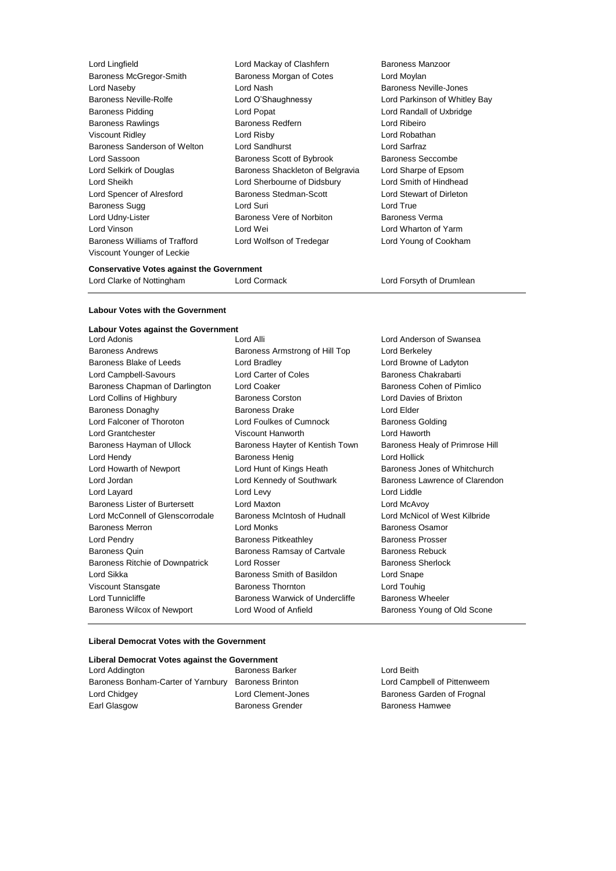| Lord Lingfield                 | Lord Mackay of Clashfern         | Baroness Manzoor         |
|--------------------------------|----------------------------------|--------------------------|
| <b>Baroness McGregor-Smith</b> | Baroness Morgan of Cotes         | Lord Moylan              |
| Lord Naseby                    | Lord Nash                        | Baroness Neville-Jones   |
| Baroness Neville-Rolfe         | Lord O'Shaughnessy               | Lord Parkinson of Whitle |
| <b>Baroness Pidding</b>        | Lord Popat                       | Lord Randall of Uxbridge |
| <b>Baroness Rawlings</b>       | <b>Baroness Redfern</b>          | Lord Ribeiro             |
| Viscount Ridley                | Lord Risby                       | Lord Robathan            |
| Baroness Sanderson of Welton   | Lord Sandhurst                   | Lord Sarfraz             |
| Lord Sassoon                   | Baroness Scott of Bybrook        | Baroness Seccombe        |
| Lord Selkirk of Douglas        | Baroness Shackleton of Belgravia | Lord Sharpe of Epsom     |
| Lord Sheikh                    | Lord Sherbourne of Didsbury      | Lord Smith of Hindhead   |
| Lord Spencer of Alresford      | Baroness Stedman-Scott           | Lord Stewart of Dirleton |
| Baroness Sugg                  | Lord Suri                        | Lord True                |
| Lord Udny-Lister               | Baroness Vere of Norbiton        | Baroness Verma           |
| Lord Vinson                    | Lord Wei                         | Lord Wharton of Yarm     |
| Baroness Williams of Trafford  | Lord Wolfson of Tredegar         | Lord Young of Cookham    |
| Viscount Younger of Leckie     |                                  |                          |
|                                |                                  |                          |

of Whitley Bay<br>Uxbridge

### **Conservative Votes against the Government**

Lord Clarke of Nottingham **Lord Cormack** Lord Cormack Lord Forsyth of Drumlean

#### **Labour Votes with the Government**

| <b>Labour Votes against the Government</b> |                                 |                                 |
|--------------------------------------------|---------------------------------|---------------------------------|
| Lord Adonis                                | Lord Alli                       | Lord Anderson of Swansea        |
| <b>Baroness Andrews</b>                    | Baroness Armstrong of Hill Top  | Lord Berkeley                   |
| Baroness Blake of Leeds                    | Lord Bradley                    | Lord Browne of Ladyton          |
| Lord Campbell-Savours                      | Lord Carter of Coles            | Baroness Chakrabarti            |
| Baroness Chapman of Darlington             | <b>Lord Coaker</b>              | Baroness Cohen of Pimlico       |
| Lord Collins of Highbury                   | <b>Baroness Corston</b>         | Lord Davies of Brixton          |
| <b>Baroness Donaghy</b>                    | <b>Baroness Drake</b>           | Lord Elder                      |
| Lord Falconer of Thoroton                  | Lord Foulkes of Cumnock         | <b>Baroness Golding</b>         |
| <b>Lord Grantchester</b>                   | Viscount Hanworth               | I ord Haworth                   |
| Baroness Hayman of Ullock                  | Baroness Hayter of Kentish Town | Baroness Healy of Primrose Hill |
| Lord Hendy                                 | <b>Baroness Henig</b>           | Lord Hollick                    |
| Lord Howarth of Newport                    | Lord Hunt of Kings Heath        | Baroness Jones of Whitchurch    |
| Lord Jordan                                | Lord Kennedy of Southwark       | Baroness Lawrence of Clarendon  |
| Lord Layard                                | Lord Levy                       | Lord Liddle                     |
| Baroness Lister of Burtersett              | Lord Maxton                     | Lord McAvoy                     |
| Lord McConnell of Glenscorrodale           | Baroness McIntosh of Hudnall    | Lord McNicol of West Kilbride   |
| <b>Baroness Merron</b>                     | Lord Monks                      | Baroness Osamor                 |
| Lord Pendry                                | <b>Baroness Pitkeathley</b>     | <b>Baroness Prosser</b>         |
| Baroness Quin                              | Baroness Ramsay of Cartvale     | <b>Baroness Rebuck</b>          |
| Baroness Ritchie of Downpatrick            | Lord Rosser                     | <b>Baroness Sherlock</b>        |
| Lord Sikka                                 | Baroness Smith of Basildon      | Lord Snape                      |
| Viscount Stansgate                         | <b>Baroness Thornton</b>        | Lord Touhig                     |
| Lord Tunnicliffe                           | Baroness Warwick of Undercliffe | <b>Baroness Wheeler</b>         |
| <b>Baroness Wilcox of Newport</b>          | Lord Wood of Anfield            | Baroness Young of Old Scone     |

#### **Liberal Democrat Votes with the Government**

## **Liberal Democrat Votes against the Government**

Lord Addington **Baroness Barker** Lord Beith **Baroness Barker** Baroness Bonham-Carter of Yarnbury Baroness Brinton Lord Campbell of Pittenweem Lord Chidgey **Lord Clement-Jones** Baroness Garden of Frognal Earl Glasgow **Baroness Grender** Baroness Hamwee